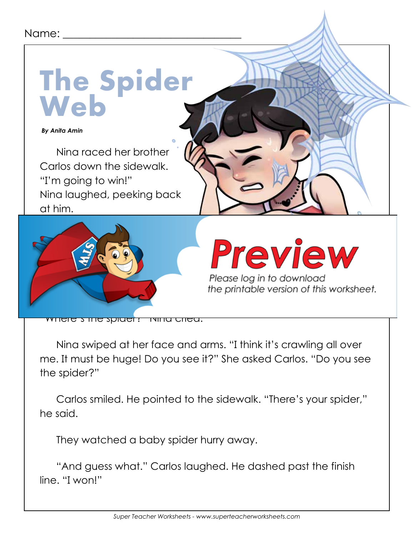## Name:



Nina swiped at her face and arms. "I think it's crawling all over me. It must be huge! Do you see it?" She asked Carlos. "Do you see the spider?"

Carlos smiled. He pointed to the sidewalk. "There's your spider," he said.

They watched a baby spider hurry away.

"And guess what." Carlos laughed. He dashed past the finish line. "I won!"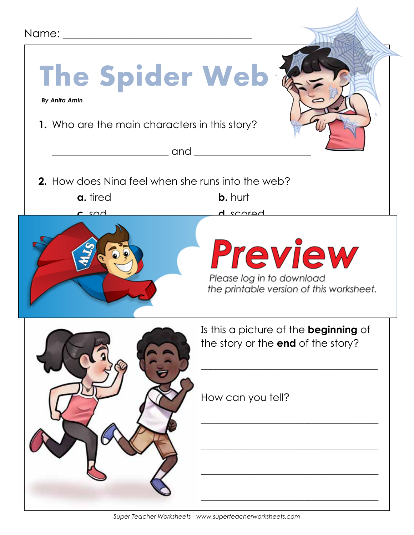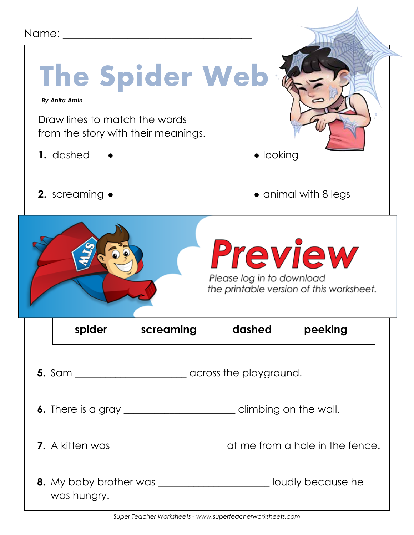| Name: ______<br>The Spider Web                                                                            |                  |                                             |                                          |
|-----------------------------------------------------------------------------------------------------------|------------------|---------------------------------------------|------------------------------------------|
| <b>By Anita Amin</b><br>Draw lines to match the words<br>from the story with their meanings.<br>1. dashed |                  | $\bullet$ looking                           |                                          |
| 2. screaming •                                                                                            |                  |                                             | $\bullet$ animal with 8 legs             |
|                                                                                                           |                  | <b>Preview</b><br>Please log in to download | the printable version of this worksheet. |
|                                                                                                           | spider screaming | dashed                                      | peeking                                  |
|                                                                                                           |                  |                                             |                                          |
| <b>6.</b> There is a gray __________________________________ climbing on the wall.                        |                  |                                             |                                          |
|                                                                                                           |                  |                                             |                                          |
| 8. My baby brother was _________________________ loudly because he<br>was hungry.                         |                  |                                             |                                          |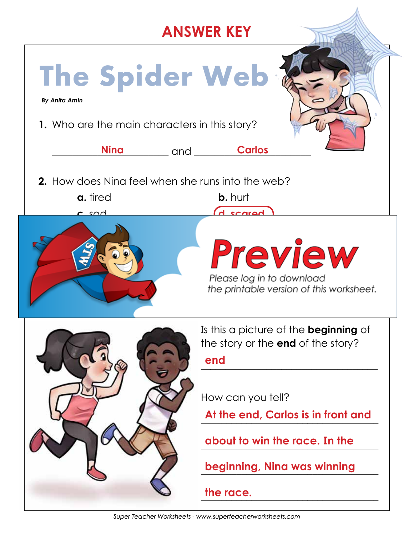